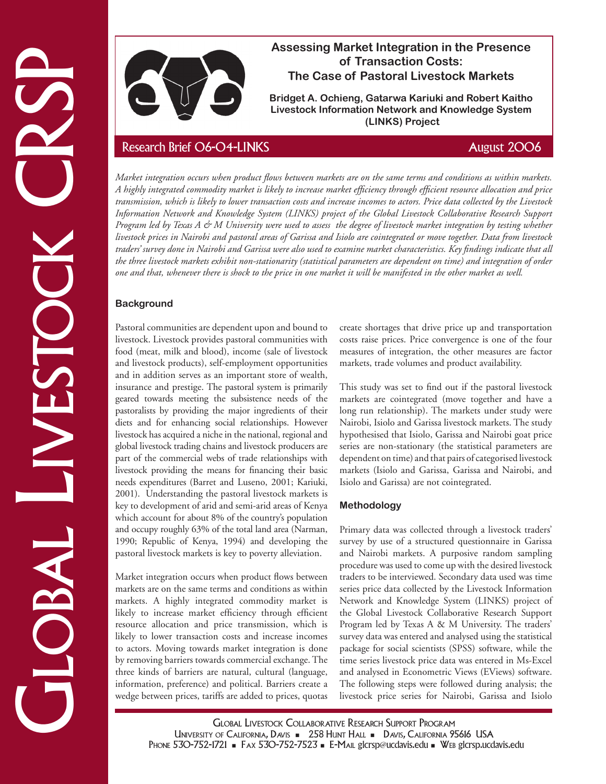

# **Assessing Market Integration in the Presence of Transaction Costs: The Case of Pastoral Livestock Markets**

**Bridget A. Ochieng, Gatarwa Kariuki and Robert Kaitho Livestock Information Network and Knowledge System (LINKS) Project**

Example the Case of Passival and Northern Costs.<br>
The Case of Cransaction Costs is the case of Passival and Robert Kathlee Interaction and Robert Kathlee Costs CRSP Research Brief O6-O4-LINKS August 2006 and Robert Kathle *Market integration occurs when product flows between markets are on the same terms and conditions as within markets. A highly integrated commodity market is likely to increase market efficiency through efficient resource allocation and price transmission, which is likely to lower transaction costs and increase incomes to actors. Price data collected by the Livestock Information Network and Knowledge System (LINKS) project of the Global Livestock Collaborative Research Support Program led by Texas A & M University were used to assess the degree of livestock market integration by testing whether livestock prices in Nairobi and pastoral areas of Garissa and Isiolo are cointegrated or move together. Data from livestock traders' survey done in Nairobi and Garissa were also used to examine market characteristics. Key findings indicate that all the three livestock markets exhibit non-stationarity (statistical parameters are dependent on time) and integration of order one and that, whenever there is shock to the price in one market it will be manifested in the other market as well.*

# **Background**

Pastoral communities are dependent upon and bound to livestock. Livestock provides pastoral communities with food (meat, milk and blood), income (sale of livestock and livestock products), self-employment opportunities and in addition serves as an important store of wealth, insurance and prestige. The pastoral system is primarily geared towards meeting the subsistence needs of the pastoralists by providing the major ingredients of their diets and for enhancing social relationships. However livestock has acquired a niche in the national, regional and global livestock trading chains and livestock producers are part of the commercial webs of trade relationships with livestock providing the means for financing their basic needs expenditures (Barret and Luseno, 2001; Kariuki, 2001). Understanding the pastoral livestock markets is key to development of arid and semi-arid areas of Kenya which account for about 8% of the country's population and occupy roughly 63% of the total land area (Narman, 1990; Republic of Kenya, 1994) and developing the pastoral livestock markets is key to poverty alleviation.

Market integration occurs when product flows between markets are on the same terms and conditions as within markets. A highly integrated commodity market is likely to increase market efficiency through efficient resource allocation and price transmission, which is likely to lower transaction costs and increase incomes to actors. Moving towards market integration is done by removing barriers towards commercial exchange. The three kinds of barriers are natural, cultural (language, information, preference) and political. Barriers create a wedge between prices, tariffs are added to prices, quotas create shortages that drive price up and transportation costs raise prices. Price convergence is one of the four measures of integration, the other measures are factor markets, trade volumes and product availability.

This study was set to find out if the pastoral livestock markets are cointegrated (move together and have a long run relationship). The markets under study were Nairobi, Isiolo and Garissa livestock markets. The study hypothesised that Isiolo, Garissa and Nairobi goat price series are non-stationary (the statistical parameters are dependent on time) and that pairs of categorised livestock markets (Isiolo and Garissa, Garissa and Nairobi, and Isiolo and Garissa) are not cointegrated.

# **Methodology**

Primary data was collected through a livestock traders' survey by use of a structured questionnaire in Garissa and Nairobi markets. A purposive random sampling procedure was used to come up with the desired livestock traders to be interviewed. Secondary data used was time series price data collected by the Livestock Information Network and Knowledge System (LINKS) project of the Global Livestock Collaborative Research Support Program led by Texas A & M University. The traders' survey data was entered and analysed using the statistical package for social scientists (SPSS) software, while the time series livestock price data was entered in Ms-Excel and analysed in Econometric Views (EViews) software. The following steps were followed during analysis; the livestock price series for Nairobi, Garissa and Isiolo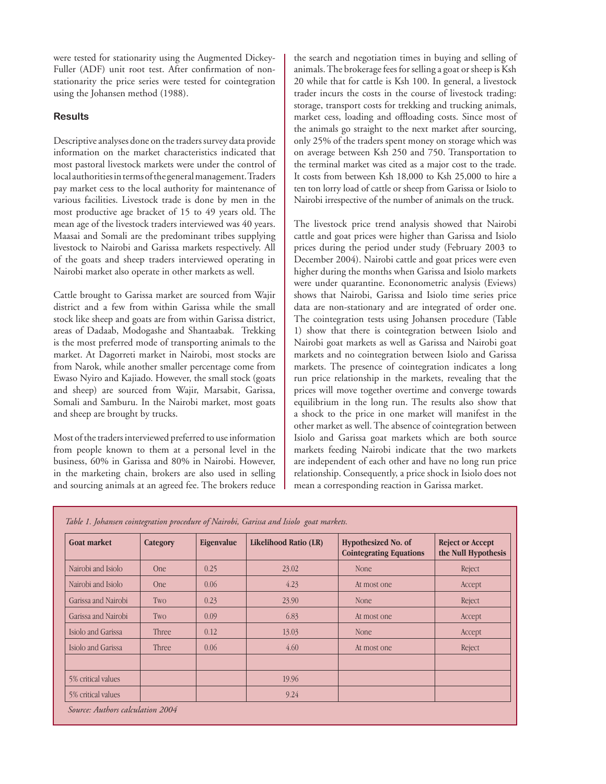were tested for stationarity using the Augmented Dickey-Fuller (ADF) unit root test. After confirmation of nonstationarity the price series were tested for cointegration using the Johansen method (1988).

### **Results**

Descriptive analyses done on the traders survey data provide information on the market characteristics indicated that most pastoral livestock markets were under the control of local authorities in terms of the general management. Traders pay market cess to the local authority for maintenance of various facilities. Livestock trade is done by men in the most productive age bracket of 15 to 49 years old. The mean age of the livestock traders interviewed was 40 years. Maasai and Somali are the predominant tribes supplying livestock to Nairobi and Garissa markets respectively. All of the goats and sheep traders interviewed operating in Nairobi market also operate in other markets as well.

Cattle brought to Garissa market are sourced from Wajir district and a few from within Garissa while the small stock like sheep and goats are from within Garissa district, areas of Dadaab, Modogashe and Shantaabak. Trekking is the most preferred mode of transporting animals to the market. At Dagorreti market in Nairobi, most stocks are from Narok, while another smaller percentage come from Ewaso Nyiro and Kajiado. However, the small stock (goats and sheep) are sourced from Wajir, Marsabit, Garissa, Somali and Samburu. In the Nairobi market, most goats and sheep are brought by trucks.

Most of the traders interviewed preferred to use information from people known to them at a personal level in the business, 60% in Garissa and 80% in Nairobi. However, in the marketing chain, brokers are also used in selling and sourcing animals at an agreed fee. The brokers reduce the search and negotiation times in buying and selling of animals. The brokerage fees for selling a goat or sheep is Ksh 20 while that for cattle is Ksh 100. In general, a livestock trader incurs the costs in the course of livestock trading: storage, transport costs for trekking and trucking animals, market cess, loading and offloading costs. Since most of the animals go straight to the next market after sourcing, only 25% of the traders spent money on storage which was on average between Ksh 250 and 750. Transportation to the terminal market was cited as a major cost to the trade. It costs from between Ksh 18,000 to Ksh 25,000 to hire a ten ton lorry load of cattle or sheep from Garissa or Isiolo to Nairobi irrespective of the number of animals on the truck.

The livestock price trend analysis showed that Nairobi cattle and goat prices were higher than Garissa and Isiolo prices during the period under study (February 2003 to December 2004). Nairobi cattle and goat prices were even higher during the months when Garissa and Isiolo markets were under quarantine. Econonometric analysis (Eviews) shows that Nairobi, Garissa and Isiolo time series price data are non-stationary and are integrated of order one. The cointegration tests using Johansen procedure (Table 1) show that there is cointegration between Isiolo and Nairobi goat markets as well as Garissa and Nairobi goat markets and no cointegration between Isiolo and Garissa markets. The presence of cointegration indicates a long run price relationship in the markets, revealing that the prices will move together overtime and converge towards equilibrium in the long run. The results also show that a shock to the price in one market will manifest in the other market as well. The absence of cointegration between Isiolo and Garissa goat markets which are both source markets feeding Nairobi indicate that the two markets are independent of each other and have no long run price relationship. Consequently, a price shock in Isiolo does not mean a corresponding reaction in Garissa market.

| <b>Goat market</b>  | Category   | Eigenvalue | Likelihood Ratio (LR) | Hypothesized No. of<br><b>Cointegrating Equations</b> | <b>Reject or Accept</b><br>the Null Hypothesis |
|---------------------|------------|------------|-----------------------|-------------------------------------------------------|------------------------------------------------|
| Nairobi and Isiolo  | <b>One</b> | 0.25       | 23.02                 | None                                                  | Reject                                         |
| Nairobi and Isiolo  | <b>One</b> | 0.06       | 4.23                  | At most one                                           | Accept                                         |
| Garissa and Nairobi | Two        | 0.23       | 23.90                 | None                                                  | Reject                                         |
| Garissa and Nairobi | Two        | 0.09       | 6.83                  | At most one                                           | Accept                                         |
| Isiolo and Garissa  | Three      | 0.12       | 13.03                 | None                                                  | Accept                                         |
| Isiolo and Garissa  | Three      | 0.06       | 4.60                  | At most one                                           | Reject                                         |
| 5% critical values  |            |            | 19.96                 |                                                       |                                                |
| 5% critical values  |            |            | 9.24                  |                                                       |                                                |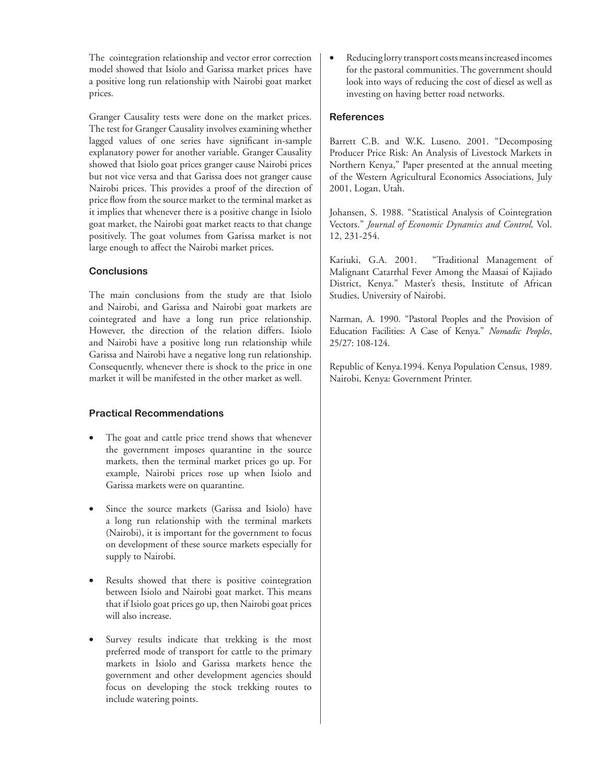The cointegration relationship and vector error correction model showed that Isiolo and Garissa market prices have a positive long run relationship with Nairobi goat market prices.

Granger Causality tests were done on the market prices. The test for Granger Causality involves examining whether lagged values of one series have significant in-sample explanatory power for another variable. Granger Causality showed that Isiolo goat prices granger cause Nairobi prices but not vice versa and that Garissa does not granger cause Nairobi prices. This provides a proof of the direction of price flow from the source market to the terminal market as it implies that whenever there is a positive change in Isiolo goat market, the Nairobi goat market reacts to that change positively. The goat volumes from Garissa market is not large enough to affect the Nairobi market prices.

## **Conclusions**

The main conclusions from the study are that Isiolo and Nairobi, and Garissa and Nairobi goat markets are cointegrated and have a long run price relationship. However, the direction of the relation differs. Isiolo and Nairobi have a positive long run relationship while Garissa and Nairobi have a negative long run relationship. Consequently, whenever there is shock to the price in one market it will be manifested in the other market as well.

# **Practical Recommendations**

- The goat and cattle price trend shows that whenever the government imposes quarantine in the source markets, then the terminal market prices go up. For example, Nairobi prices rose up when Isiolo and Garissa markets were on quarantine.
- Since the source markets (Garissa and Isiolo) have a long run relationship with the terminal markets (Nairobi), it is important for the government to focus on development of these source markets especially for supply to Nairobi.
- Results showed that there is positive cointegration between Isiolo and Nairobi goat market. This means that if Isiolo goat prices go up, then Nairobi goat prices will also increase.
- Survey results indicate that trekking is the most preferred mode of transport for cattle to the primary markets in Isiolo and Garissa markets hence the government and other development agencies should focus on developing the stock trekking routes to include watering points.

Reducing lorry transport costs means increased incomes for the pastoral communities. The government should look into ways of reducing the cost of diesel as well as investing on having better road networks.

## **References**

Barrett C.B. and W.K. Luseno. 2001. "Decomposing Producer Price Risk: An Analysis of Livestock Markets in Northern Kenya," Paper presented at the annual meeting of the Western Agricultural Economics Associations, July 2001, Logan, Utah.

Johansen, S. 1988. "Statistical Analysis of Cointegration Vectors." *Journal of Economic Dynamics and Control,* Vol. 12, 231-254.

Kariuki, G.A. 2001. "Traditional Management of Malignant Catarrhal Fever Among the Maasai of Kajiado District, Kenya." Master's thesis, Institute of African Studies, University of Nairobi.

Narman, A. 1990. "Pastoral Peoples and the Provision of Education Facilities: A Case of Kenya." *Nomadic Peoples*, 25/27: 108-124.

Republic of Kenya.1994. Kenya Population Census, 1989. Nairobi, Kenya: Government Printer.